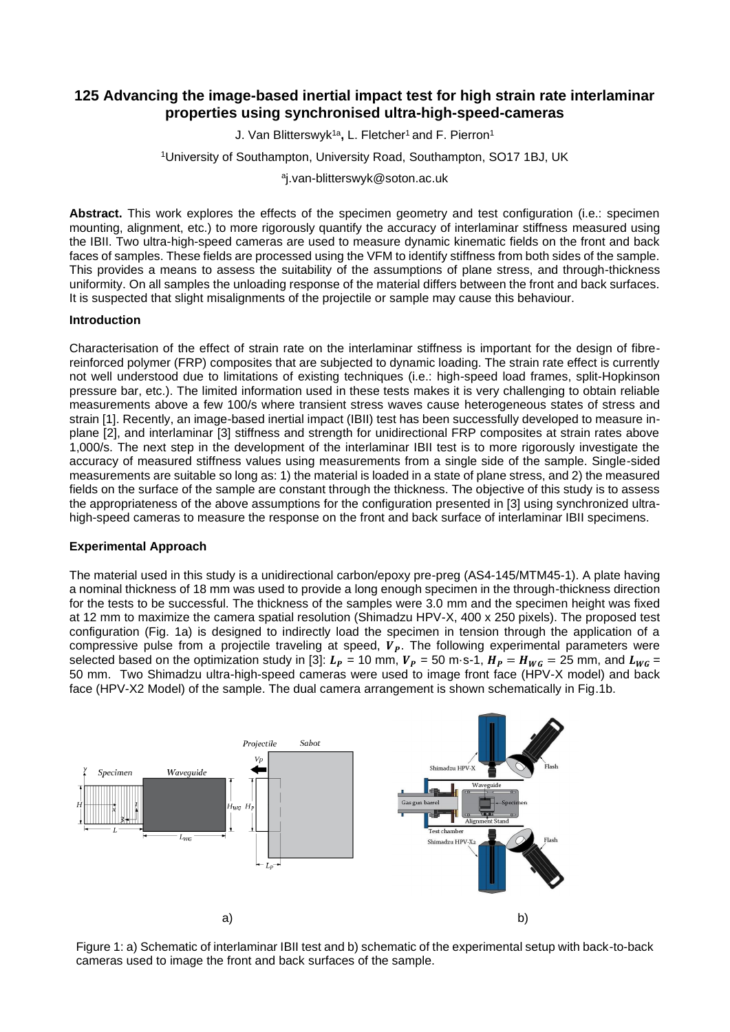# **125 Advancing the image-based inertial impact test for high strain rate interlaminar properties using synchronised ultra-high-speed-cameras**

J. Van Blitterswyk1a **,** L. Fletcher<sup>1</sup>and F. Pierron<sup>1</sup>

<sup>1</sup>University of Southampton, University Road, Southampton, SO17 1BJ, UK

a j.van-blitterswyk@soton.ac.uk

**Abstract.** This work explores the effects of the specimen geometry and test configuration (i.e.: specimen mounting, alignment, etc.) to more rigorously quantify the accuracy of interlaminar stiffness measured using the IBII. Two ultra-high-speed cameras are used to measure dynamic kinematic fields on the front and back faces of samples. These fields are processed using the VFM to identify stiffness from both sides of the sample. This provides a means to assess the suitability of the assumptions of plane stress, and through-thickness uniformity. On all samples the unloading response of the material differs between the front and back surfaces. It is suspected that slight misalignments of the projectile or sample may cause this behaviour.

## **Introduction**

Characterisation of the effect of strain rate on the interlaminar stiffness is important for the design of fibrereinforced polymer (FRP) composites that are subjected to dynamic loading. The strain rate effect is currently not well understood due to limitations of existing techniques (i.e.: high-speed load frames, split-Hopkinson pressure bar, etc.). The limited information used in these tests makes it is very challenging to obtain reliable measurements above a few 100/s where transient stress waves cause heterogeneous states of stress and strain [1]. Recently, an image-based inertial impact (IBII) test has been successfully developed to measure inplane [2], and interlaminar [3] stiffness and strength for unidirectional FRP composites at strain rates above 1,000/s. The next step in the development of the interlaminar IBII test is to more rigorously investigate the accuracy of measured stiffness values using measurements from a single side of the sample. Single-sided measurements are suitable so long as: 1) the material is loaded in a state of plane stress, and 2) the measured fields on the surface of the sample are constant through the thickness. The objective of this study is to assess the appropriateness of the above assumptions for the configuration presented in [3] using synchronized ultrahigh-speed cameras to measure the response on the front and back surface of interlaminar IBII specimens.

## **Experimental Approach**

The material used in this study is a unidirectional carbon/epoxy pre-preg (AS4-145/MTM45-1). A plate having a nominal thickness of 18 mm was used to provide a long enough specimen in the through-thickness direction for the tests to be successful. The thickness of the samples were 3.0 mm and the specimen height was fixed at 12 mm to maximize the camera spatial resolution (Shimadzu HPV-X, 400 x 250 pixels). The proposed test configuration (Fig. 1a) is designed to indirectly load the specimen in tension through the application of a compressive pulse from a projectile traveling at speed,  $V_p$ . The following experimental parameters were selected based on the optimization study in [3]:  $L_p = 10$  mm,  $V_p = 50$  m·s-1,  $H_p = H_{WG} = 25$  mm, and  $L_{WG} =$ 50 mm. Two Shimadzu ultra-high-speed cameras were used to image front face (HPV-X model) and back face (HPV-X2 Model) of the sample. The dual camera arrangement is shown schematically in Fig.1b.



Figure 1: a) Schematic of interlaminar IBII test and b) schematic of the experimental setup with back-to-back cameras used to image the front and back surfaces of the sample.